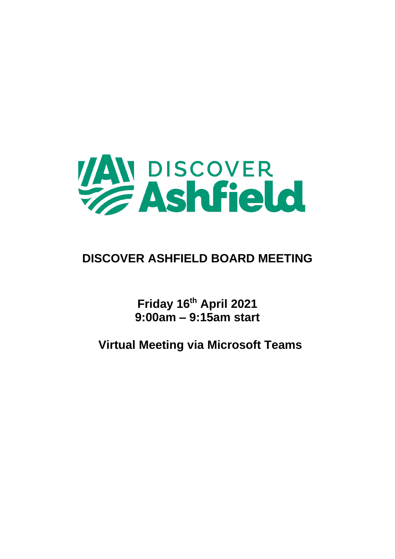

# **DISCOVER ASHFIELD BOARD MEETING**

**Friday 16th April 2021 9:00am – 9:15am start**

**Virtual Meeting via Microsoft Teams**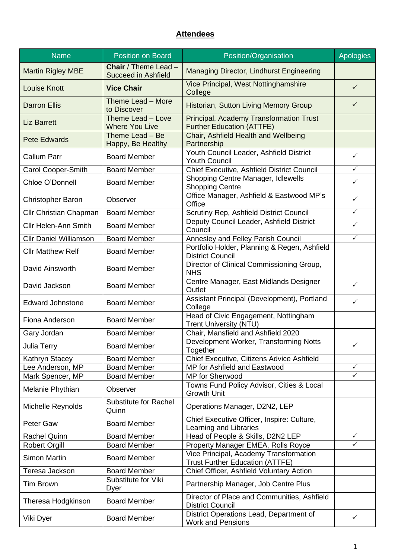# **Attendees**

| <b>Name</b>                   | <b>Position on Board</b>                                  | Position/Organisation                                                            | <b>Apologies</b>        |
|-------------------------------|-----------------------------------------------------------|----------------------------------------------------------------------------------|-------------------------|
| <b>Martin Rigley MBE</b>      | <b>Chair</b> / Theme Lead -<br><b>Succeed in Ashfield</b> | Managing Director, Lindhurst Engineering                                         |                         |
| <b>Louise Knott</b>           | <b>Vice Chair</b>                                         | Vice Principal, West Nottinghamshire<br>College                                  | $\checkmark$            |
| <b>Darron Ellis</b>           | Theme Lead - More<br>to Discover                          | Historian, Sutton Living Memory Group                                            | $\checkmark$            |
| <b>Liz Barrett</b>            | Theme Lead - Love<br><b>Where You Live</b>                | Principal, Academy Transformation Trust<br><b>Further Education (ATTFE)</b>      |                         |
| <b>Pete Edwards</b>           | Theme Lead - Be<br>Happy, Be Healthy                      | Chair, Ashfield Health and Wellbeing<br>Partnership                              |                         |
| <b>Callum Parr</b>            | <b>Board Member</b>                                       | Youth Council Leader, Ashfield District<br><b>Youth Council</b>                  | ✓                       |
| Carol Cooper-Smith            | <b>Board Member</b>                                       | Chief Executive, Ashfield District Council                                       | $\checkmark$            |
| Chloe O'Donnell               | <b>Board Member</b>                                       | Shopping Centre Manager, Idlewells<br><b>Shopping Centre</b>                     | ✓                       |
| <b>Christopher Baron</b>      | Observer                                                  | Office Manager, Ashfield & Eastwood MP's<br>Office                               | $\checkmark$            |
| <b>Cllr Christian Chapman</b> | <b>Board Member</b>                                       | Scrutiny Rep, Ashfield District Council                                          | ✓                       |
| <b>Cllr Helen-Ann Smith</b>   | <b>Board Member</b>                                       | Deputy Council Leader, Ashfield District<br>Council                              | $\checkmark$            |
| <b>Cllr Daniel Williamson</b> | <b>Board Member</b>                                       | Annesley and Felley Parish Council                                               | $\checkmark$            |
| <b>Cllr Matthew Relf</b>      | <b>Board Member</b>                                       | Portfolio Holder, Planning & Regen, Ashfield<br><b>District Council</b>          |                         |
| David Ainsworth               | <b>Board Member</b>                                       | Director of Clinical Commissioning Group,<br><b>NHS</b>                          |                         |
| David Jackson                 | <b>Board Member</b>                                       | Centre Manager, East Midlands Designer<br>Outlet                                 | ✓                       |
| <b>Edward Johnstone</b>       | <b>Board Member</b>                                       | Assistant Principal (Development), Portland<br>College                           | $\checkmark$            |
| Fiona Anderson                | <b>Board Member</b>                                       | Head of Civic Engagement, Nottingham<br><b>Trent University (NTU)</b>            |                         |
| Gary Jordan                   | <b>Board Member</b>                                       | Chair, Mansfield and Ashfield 2020                                               |                         |
| Julia Terry                   | <b>Board Member</b>                                       | Development Worker, Transforming Notts<br>Together                               | $\sqrt{ }$              |
| Kathryn Stacey                | <b>Board Member</b>                                       | Chief Executive, Citizens Advice Ashfield                                        |                         |
| Lee Anderson, MP              | <b>Board Member</b>                                       | MP for Ashfield and Eastwood                                                     | $\checkmark$            |
| Mark Spencer, MP              | <b>Board Member</b>                                       | MP for Sherwood                                                                  | ✓                       |
| Melanie Phythian              | Observer                                                  | Towns Fund Policy Advisor, Cities & Local<br><b>Growth Unit</b>                  |                         |
| Michelle Reynolds             | <b>Substitute for Rachel</b><br>Quinn                     | Operations Manager, D2N2, LEP                                                    |                         |
| Peter Gaw                     | <b>Board Member</b>                                       | Chief Executive Officer, Inspire: Culture,<br>Learning and Libraries             |                         |
| <b>Rachel Quinn</b>           | <b>Board Member</b>                                       | Head of People & Skills, D2N2 LEP                                                | $\checkmark$            |
| <b>Robert Orgill</b>          | <b>Board Member</b>                                       | Property Manager EMEA, Rolls Royce                                               | $\overline{\checkmark}$ |
| <b>Simon Martin</b>           | <b>Board Member</b>                                       | Vice Principal, Academy Transformation<br><b>Trust Further Education (ATTFE)</b> |                         |
| Teresa Jackson                | <b>Board Member</b>                                       | Chief Officer, Ashfield Voluntary Action                                         |                         |
| <b>Tim Brown</b>              | Substitute for Viki<br>Dyer                               | Partnership Manager, Job Centre Plus                                             |                         |
| Theresa Hodgkinson            | <b>Board Member</b>                                       | Director of Place and Communities, Ashfield<br><b>District Council</b>           |                         |
| Viki Dyer                     | <b>Board Member</b>                                       | District Operations Lead, Department of<br><b>Work and Pensions</b>              | $\checkmark$            |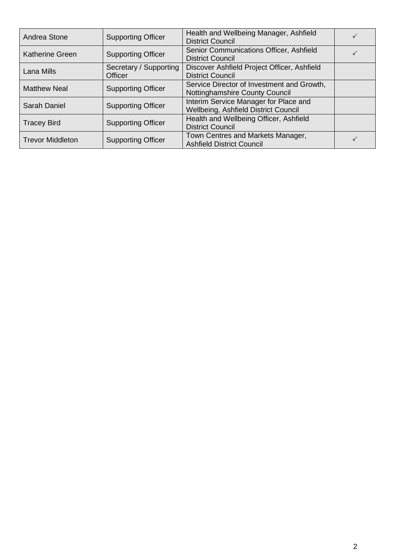| Andrea Stone            | <b>Supporting Officer</b>                | Health and Wellbeing Manager, Ashfield<br><b>District Council</b>             |  |
|-------------------------|------------------------------------------|-------------------------------------------------------------------------------|--|
| <b>Katherine Green</b>  | <b>Supporting Officer</b>                | Senior Communications Officer, Ashfield<br><b>District Council</b>            |  |
| Lana Mills              | Secretary / Supporting<br><b>Officer</b> | Discover Ashfield Project Officer, Ashfield<br><b>District Council</b>        |  |
| <b>Matthew Neal</b>     | <b>Supporting Officer</b>                | Service Director of Investment and Growth,<br>Nottinghamshire County Council  |  |
| Sarah Daniel            | <b>Supporting Officer</b>                | Interim Service Manager for Place and<br>Wellbeing, Ashfield District Council |  |
| <b>Tracey Bird</b>      | <b>Supporting Officer</b>                | Health and Wellbeing Officer, Ashfield<br><b>District Council</b>             |  |
| <b>Trevor Middleton</b> | <b>Supporting Officer</b>                | Town Centres and Markets Manager,<br><b>Ashfield District Council</b>         |  |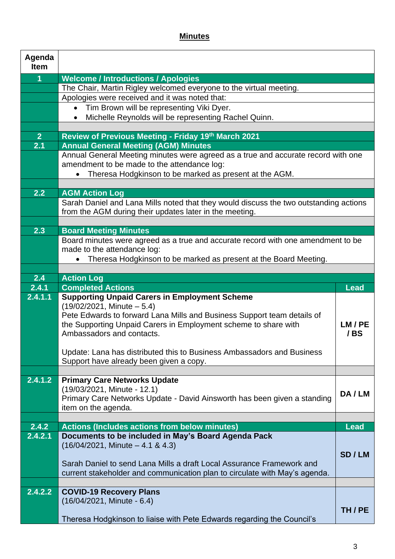# **Minutes**

| Agenda<br><b>Item</b> |                                                                                                    |             |
|-----------------------|----------------------------------------------------------------------------------------------------|-------------|
| 1                     | <b>Welcome / Introductions / Apologies</b>                                                         |             |
|                       | The Chair, Martin Rigley welcomed everyone to the virtual meeting.                                 |             |
|                       | Apologies were received and it was noted that:                                                     |             |
|                       | Tim Brown will be representing Viki Dyer.<br>$\bullet$                                             |             |
|                       | Michelle Reynolds will be representing Rachel Quinn.                                               |             |
|                       |                                                                                                    |             |
| 2 <sup>1</sup><br>2.1 | Review of Previous Meeting - Friday 19th March 2021<br><b>Annual General Meeting (AGM) Minutes</b> |             |
|                       | Annual General Meeting minutes were agreed as a true and accurate record with one                  |             |
|                       | amendment to be made to the attendance log:                                                        |             |
|                       | Theresa Hodgkinson to be marked as present at the AGM.                                             |             |
|                       |                                                                                                    |             |
| 2.2                   | <b>AGM Action Log</b>                                                                              |             |
|                       | Sarah Daniel and Lana Mills noted that they would discuss the two outstanding actions              |             |
|                       | from the AGM during their updates later in the meeting.                                            |             |
| 2.3                   | <b>Board Meeting Minutes</b>                                                                       |             |
|                       | Board minutes were agreed as a true and accurate record with one amendment to be                   |             |
|                       | made to the attendance log:                                                                        |             |
|                       | Theresa Hodgkinson to be marked as present at the Board Meeting.                                   |             |
|                       |                                                                                                    |             |
| 2.4<br>2.4.1          | <b>Action Log</b><br><b>Completed Actions</b>                                                      | <b>Lead</b> |
| 2.4.1.1               | <b>Supporting Unpaid Carers in Employment Scheme</b>                                               |             |
|                       | $(19/02/2021,$ Minute $-5.4)$                                                                      |             |
|                       | Pete Edwards to forward Lana Mills and Business Support team details of                            |             |
|                       | the Supporting Unpaid Carers in Employment scheme to share with                                    | LM/PE       |
|                       | Ambassadors and contacts.                                                                          | /BS         |
|                       | Update: Lana has distributed this to Business Ambassadors and Business                             |             |
|                       | Support have already been given a copy.                                                            |             |
|                       |                                                                                                    |             |
| 2.4.1.2               | <b>Primary Care Networks Update</b>                                                                |             |
|                       | (19/03/2021, Minute - 12.1)                                                                        | DA/LM       |
|                       | Primary Care Networks Update - David Ainsworth has been given a standing<br>item on the agenda.    |             |
|                       |                                                                                                    |             |
| 2.4.2                 | <b>Actions (Includes actions from below minutes)</b>                                               | <b>Lead</b> |
| 2.4.2.1               | Documents to be included in May's Board Agenda Pack                                                |             |
|                       | $(16/04/2021,$ Minute $-4.1$ & 4.3)                                                                |             |
|                       | Sarah Daniel to send Lana Mills a draft Local Assurance Framework and                              | SD/LM       |
|                       | current stakeholder and communication plan to circulate with May's agenda.                         |             |
|                       |                                                                                                    |             |
| 2.4.2.2               | <b>COVID-19 Recovery Plans</b>                                                                     |             |
|                       | (16/04/2021, Minute - 6.4)                                                                         |             |
|                       |                                                                                                    | TH/PE       |
|                       | Theresa Hodgkinson to liaise with Pete Edwards regarding the Council's                             |             |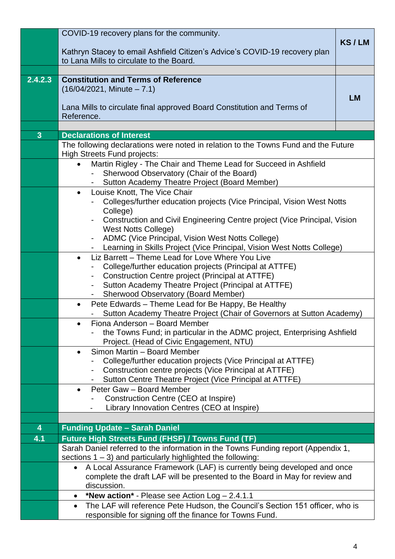|                         | COVID-19 recovery plans for the community.                                                                                                             |           |
|-------------------------|--------------------------------------------------------------------------------------------------------------------------------------------------------|-----------|
|                         | Kathryn Stacey to email Ashfield Citizen's Advice's COVID-19 recovery plan                                                                             | KS/LM     |
|                         | to Lana Mills to circulate to the Board.                                                                                                               |           |
|                         |                                                                                                                                                        |           |
| 2.4.2.3                 | <b>Constitution and Terms of Reference</b><br>$(16/04/2021,$ Minute $-7.1)$                                                                            |           |
|                         |                                                                                                                                                        | <b>LM</b> |
|                         | Lana Mills to circulate final approved Board Constitution and Terms of                                                                                 |           |
|                         | Reference.                                                                                                                                             |           |
| $\overline{3}$          | <b>Declarations of Interest</b>                                                                                                                        |           |
|                         | The following declarations were noted in relation to the Towns Fund and the Future                                                                     |           |
|                         | <b>High Streets Fund projects:</b><br>Martin Rigley - The Chair and Theme Lead for Succeed in Ashfield<br>$\bullet$                                    |           |
|                         | Sherwood Observatory (Chair of the Board)                                                                                                              |           |
|                         | Sutton Academy Theatre Project (Board Member)                                                                                                          |           |
|                         | Louise Knott, The Vice Chair<br>$\bullet$                                                                                                              |           |
|                         | Colleges/further education projects (Vice Principal, Vision West Notts<br>College)                                                                     |           |
|                         | Construction and Civil Engineering Centre project (Vice Principal, Vision                                                                              |           |
|                         | <b>West Notts College)</b>                                                                                                                             |           |
|                         | ADMC (Vice Principal, Vision West Notts College)<br>$\blacksquare$<br>Learning in Skills Project (Vice Principal, Vision West Notts College)<br>$\sim$ |           |
|                         | Liz Barrett - Theme Lead for Love Where You Live<br>$\bullet$                                                                                          |           |
|                         | College/further education projects (Principal at ATTFE)                                                                                                |           |
|                         | Construction Centre project (Principal at ATTFE)<br>Sutton Academy Theatre Project (Principal at ATTFE)                                                |           |
|                         | <b>Sherwood Observatory (Board Member)</b><br>$\blacksquare$                                                                                           |           |
|                         | Pete Edwards - Theme Lead for Be Happy, Be Healthy<br>$\bullet$                                                                                        |           |
|                         | Sutton Academy Theatre Project (Chair of Governors at Sutton Academy)<br>Fiona Anderson - Board Member                                                 |           |
|                         | the Towns Fund; in particular in the ADMC project, Enterprising Ashfield                                                                               |           |
|                         | Project. (Head of Civic Engagement, NTU)                                                                                                               |           |
|                         | Simon Martin - Board Member<br>$\bullet$<br>College/further education projects (Vice Principal at ATTFE)                                               |           |
|                         | Construction centre projects (Vice Principal at ATTFE)                                                                                                 |           |
|                         | Sutton Centre Theatre Project (Vice Principal at ATTFE)                                                                                                |           |
|                         | Peter Gaw - Board Member<br>$\bullet$<br>Construction Centre (CEO at Inspire)                                                                          |           |
|                         | Library Innovation Centres (CEO at Inspire)                                                                                                            |           |
|                         |                                                                                                                                                        |           |
| $\overline{\mathbf{4}}$ | <b>Funding Update - Sarah Daniel</b>                                                                                                                   |           |
| 4.1                     | <b>Future High Streets Fund (FHSF) / Towns Fund (TF)</b><br>Sarah Daniel referred to the information in the Towns Funding report (Appendix 1,          |           |
|                         | sections $1 - 3$ ) and particularly highlighted the following:                                                                                         |           |
|                         | A Local Assurance Framework (LAF) is currently being developed and once<br>$\bullet$                                                                   |           |
|                         | complete the draft LAF will be presented to the Board in May for review and<br>discussion.                                                             |           |
|                         | *New action* - Please see Action Log - 2.4.1.1<br>$\bullet$                                                                                            |           |
|                         | The LAF will reference Pete Hudson, the Council's Section 151 officer, who is<br>$\bullet$                                                             |           |
|                         | responsible for signing off the finance for Towns Fund.                                                                                                |           |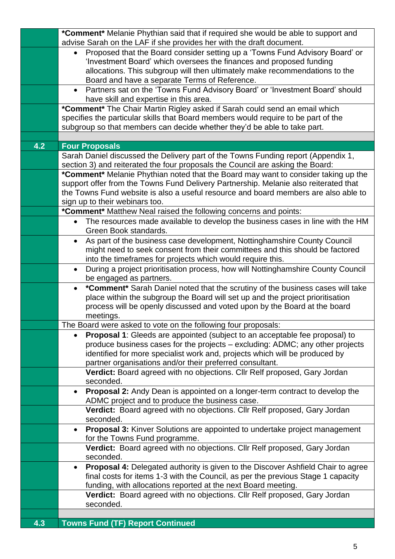|     | *Comment* Melanie Phythian said that if required she would be able to support and                                                                  |
|-----|----------------------------------------------------------------------------------------------------------------------------------------------------|
|     | advise Sarah on the LAF if she provides her with the draft document.                                                                               |
|     | Proposed that the Board consider setting up a 'Towns Fund Advisory Board' or<br>$\bullet$                                                          |
|     | 'Investment Board' which oversees the finances and proposed funding<br>allocations. This subgroup will then ultimately make recommendations to the |
|     | Board and have a separate Terms of Reference.                                                                                                      |
|     | Partners sat on the 'Towns Fund Advisory Board' or 'Investment Board' should<br>$\bullet$                                                          |
|     | have skill and expertise in this area.                                                                                                             |
|     | *Comment* The Chair Martin Rigley asked if Sarah could send an email which                                                                         |
|     | specifies the particular skills that Board members would require to be part of the                                                                 |
|     | subgroup so that members can decide whether they'd be able to take part.                                                                           |
|     |                                                                                                                                                    |
| 4.2 | <b>Four Proposals</b>                                                                                                                              |
|     | Sarah Daniel discussed the Delivery part of the Towns Funding report (Appendix 1,                                                                  |
|     | section 3) and reiterated the four proposals the Council are asking the Board:                                                                     |
|     | *Comment* Melanie Phythian noted that the Board may want to consider taking up the                                                                 |
|     | support offer from the Towns Fund Delivery Partnership. Melanie also reiterated that                                                               |
|     | the Towns Fund website is also a useful resource and board members are also able to                                                                |
|     | sign up to their webinars too.                                                                                                                     |
|     | *Comment* Matthew Neal raised the following concerns and points:                                                                                   |
|     | The resources made available to develop the business cases in line with the HM<br>$\bullet$<br>Green Book standards.                               |
|     | As part of the business case development, Nottinghamshire County Council<br>$\bullet$                                                              |
|     | might need to seek consent from their committees and this should be factored                                                                       |
|     | into the timeframes for projects which would require this.                                                                                         |
|     | During a project prioritisation process, how will Nottinghamshire County Council<br>$\bullet$                                                      |
|     | be engaged as partners.                                                                                                                            |
|     | *Comment* Sarah Daniel noted that the scrutiny of the business cases will take<br>$\bullet$                                                        |
|     | place within the subgroup the Board will set up and the project prioritisation                                                                     |
|     | process will be openly discussed and voted upon by the Board at the board<br>meetings.                                                             |
|     | The Board were asked to vote on the following four proposals:                                                                                      |
|     | <b>Proposal 1:</b> Gleeds are appointed (subject to an acceptable fee proposal) to<br>$\bullet$                                                    |
|     | produce business cases for the projects – excluding: ADMC; any other projects                                                                      |
|     | identified for more specialist work and, projects which will be produced by                                                                        |
|     | partner organisations and/or their preferred consultant.                                                                                           |
|     | Verdict: Board agreed with no objections. Cllr Relf proposed, Gary Jordan                                                                          |
|     | seconded.                                                                                                                                          |
|     | <b>Proposal 2:</b> Andy Dean is appointed on a longer-term contract to develop the<br>$\bullet$                                                    |
|     | ADMC project and to produce the business case.                                                                                                     |
|     | Verdict: Board agreed with no objections. Cllr Relf proposed, Gary Jordan                                                                          |
|     | seconded.                                                                                                                                          |
|     | <b>Proposal 3:</b> Kinver Solutions are appointed to undertake project management<br>$\bullet$<br>for the Towns Fund programme.                    |
|     | Verdict: Board agreed with no objections. Cllr Relf proposed, Gary Jordan                                                                          |
|     | seconded.                                                                                                                                          |
|     | <b>Proposal 4:</b> Delegated authority is given to the Discover Ashfield Chair to agree<br>$\bullet$                                               |
|     | final costs for items 1-3 with the Council, as per the previous Stage 1 capacity                                                                   |
|     | funding, with allocations reported at the next Board meeting.                                                                                      |
|     | Verdict: Board agreed with no objections. Cllr Relf proposed, Gary Jordan                                                                          |
|     | seconded.                                                                                                                                          |
|     |                                                                                                                                                    |
| 4.3 | <b>Towns Fund (TF) Report Continued</b>                                                                                                            |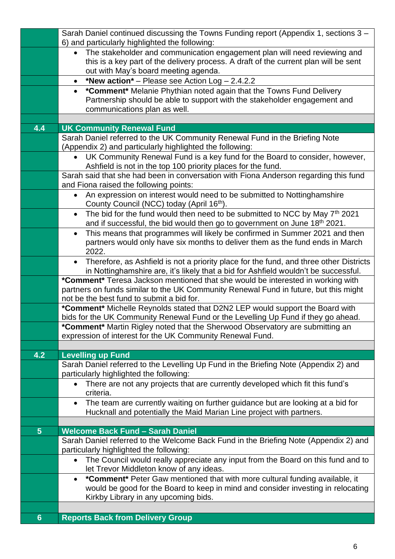|                | Sarah Daniel continued discussing the Towns Funding report (Appendix 1, sections 3 -<br>6) and particularly highlighted the following:                                                                                 |
|----------------|------------------------------------------------------------------------------------------------------------------------------------------------------------------------------------------------------------------------|
|                | The stakeholder and communication engagement plan will need reviewing and<br>$\bullet$<br>this is a key part of the delivery process. A draft of the current plan will be sent<br>out with May's board meeting agenda. |
|                | *New action* – Please see Action $Log - 2.4.2.2$<br>$\bullet$                                                                                                                                                          |
|                | *Comment* Melanie Phythian noted again that the Towns Fund Delivery<br>$\bullet$<br>Partnership should be able to support with the stakeholder engagement and<br>communications plan as well.                          |
| 4.4            | <b>UK Community Renewal Fund</b>                                                                                                                                                                                       |
|                | Sarah Daniel referred to the UK Community Renewal Fund in the Briefing Note<br>(Appendix 2) and particularly highlighted the following:                                                                                |
|                | UK Community Renewal Fund is a key fund for the Board to consider, however,<br>$\bullet$                                                                                                                               |
|                | Ashfield is not in the top 100 priority places for the fund.                                                                                                                                                           |
|                | Sarah said that she had been in conversation with Fiona Anderson regarding this fund<br>and Fiona raised the following points:                                                                                         |
|                | An expression on interest would need to be submitted to Nottinghamshire<br>$\bullet$<br>County Council (NCC) today (April 16 <sup>th</sup> ).                                                                          |
|                | The bid for the fund would then need to be submitted to NCC by May 7th 2021<br>$\bullet$<br>and if successful, the bid would then go to government on June 18th 2021.                                                  |
|                | This means that programmes will likely be confirmed in Summer 2021 and then<br>$\bullet$                                                                                                                               |
|                | partners would only have six months to deliver them as the fund ends in March<br>2022.                                                                                                                                 |
|                | Therefore, as Ashfield is not a priority place for the fund, and three other Districts<br>$\bullet$<br>in Nottinghamshire are, it's likely that a bid for Ashfield wouldn't be successful.                             |
|                | *Comment* Teresa Jackson mentioned that she would be interested in working with                                                                                                                                        |
|                | partners on funds similar to the UK Community Renewal Fund in future, but this might<br>not be the best fund to submit a bid for.                                                                                      |
|                | *Comment* Michelle Reynolds stated that D2N2 LEP would support the Board with                                                                                                                                          |
|                | bids for the UK Community Renewal Fund or the Levelling Up Fund if they go ahead.                                                                                                                                      |
|                | *Comment* Martin Rigley noted that the Sherwood Observatory are submitting an                                                                                                                                          |
|                | expression of interest for the UK Community Renewal Fund.                                                                                                                                                              |
| 4.2            | <b>Levelling up Fund</b>                                                                                                                                                                                               |
|                | Sarah Daniel referred to the Levelling Up Fund in the Briefing Note (Appendix 2) and<br>particularly highlighted the following:                                                                                        |
|                | There are not any projects that are currently developed which fit this fund's<br>$\bullet$<br>criteria.                                                                                                                |
|                | The team are currently waiting on further guidance but are looking at a bid for<br>$\bullet$<br>Hucknall and potentially the Maid Marian Line project with partners.                                                   |
|                |                                                                                                                                                                                                                        |
| $5\phantom{1}$ | <b>Welcome Back Fund - Sarah Daniel</b>                                                                                                                                                                                |
|                | Sarah Daniel referred to the Welcome Back Fund in the Briefing Note (Appendix 2) and<br>particularly highlighted the following:                                                                                        |
|                | The Council would really appreciate any input from the Board on this fund and to<br>$\bullet$<br>let Trevor Middleton know of any ideas.                                                                               |
|                | *Comment* Peter Gaw mentioned that with more cultural funding available, it<br>$\bullet$                                                                                                                               |
|                | would be good for the Board to keep in mind and consider investing in relocating<br>Kirkby Library in any upcoming bids.                                                                                               |
| 6 <sup>°</sup> | <b>Reports Back from Delivery Group</b>                                                                                                                                                                                |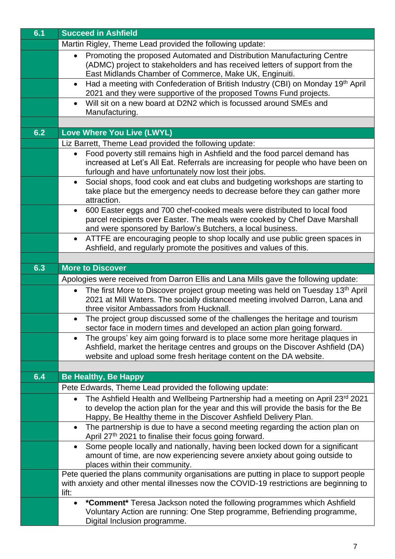| 6.1 | <b>Succeed in Ashfield</b>                                                                                                                                                                                                                      |
|-----|-------------------------------------------------------------------------------------------------------------------------------------------------------------------------------------------------------------------------------------------------|
|     | Martin Rigley, Theme Lead provided the following update:                                                                                                                                                                                        |
|     | Promoting the proposed Automated and Distribution Manufacturing Centre<br>$\bullet$<br>(ADMC) project to stakeholders and has received letters of support from the<br>East Midlands Chamber of Commerce, Make UK, Enginuiti.                    |
|     | Had a meeting with Confederation of British Industry (CBI) on Monday 19th April<br>$\bullet$<br>2021 and they were supportive of the proposed Towns Fund projects.                                                                              |
|     | Will sit on a new board at D2N2 which is focussed around SMEs and<br>$\bullet$<br>Manufacturing.                                                                                                                                                |
|     |                                                                                                                                                                                                                                                 |
| 6.2 | <b>Love Where You Live (LWYL)</b>                                                                                                                                                                                                               |
|     | Liz Barrett, Theme Lead provided the following update:                                                                                                                                                                                          |
|     | Food poverty still remains high in Ashfield and the food parcel demand has<br>$\bullet$<br>increased at Let's All Eat. Referrals are increasing for people who have been on<br>furlough and have unfortunately now lost their jobs.             |
|     | Social shops, food cook and eat clubs and budgeting workshops are starting to<br>$\bullet$<br>take place but the emergency needs to decrease before they can gather more<br>attraction.                                                         |
|     | 600 Easter eggs and 700 chef-cooked meals were distributed to local food<br>$\bullet$<br>parcel recipients over Easter. The meals were cooked by Chef Dave Marshall<br>and were sponsored by Barlow's Butchers, a local business.               |
|     | ATTFE are encouraging people to shop locally and use public green spaces in<br>$\bullet$<br>Ashfield, and regularly promote the positives and values of this.                                                                                   |
|     |                                                                                                                                                                                                                                                 |
| 6.3 | <b>More to Discover</b>                                                                                                                                                                                                                         |
|     | Apologies were received from Darron Ellis and Lana Mills gave the following update:                                                                                                                                                             |
|     | The first More to Discover project group meeting was held on Tuesday 13 <sup>th</sup> April<br>$\bullet$<br>2021 at Mill Waters. The socially distanced meeting involved Darron, Lana and<br>three visitor Ambassadors from Hucknall.           |
|     | The project group discussed some of the challenges the heritage and tourism<br>$\bullet$<br>sector face in modern times and developed an action plan going forward.                                                                             |
|     | The groups' key aim going forward is to place some more heritage plaques in<br>$\bullet$<br>Ashfield, market the heritage centres and groups on the Discover Ashfield (DA)<br>website and upload some fresh heritage content on the DA website. |
| 6.4 | <b>Be Healthy, Be Happy</b>                                                                                                                                                                                                                     |
|     | Pete Edwards, Theme Lead provided the following update:                                                                                                                                                                                         |
|     | The Ashfield Health and Wellbeing Partnership had a meeting on April 23rd 2021<br>$\bullet$<br>to develop the action plan for the year and this will provide the basis for the Be                                                               |
|     | Happy, Be Healthy theme in the Discover Ashfield Delivery Plan.<br>The partnership is due to have a second meeting regarding the action plan on<br>$\bullet$<br>April 27th 2021 to finalise their focus going forward.                          |
|     | Some people locally and nationally, having been locked down for a significant<br>$\bullet$<br>amount of time, are now experiencing severe anxiety about going outside to<br>places within their community.                                      |
|     | Pete queried the plans community organisations are putting in place to support people<br>with anxiety and other mental illnesses now the COVID-19 restrictions are beginning to<br>lift:                                                        |
|     | *Comment* Teresa Jackson noted the following programmes which Ashfield<br>$\bullet$<br>Voluntary Action are running: One Step programme, Befriending programme,<br>Digital Inclusion programme.                                                 |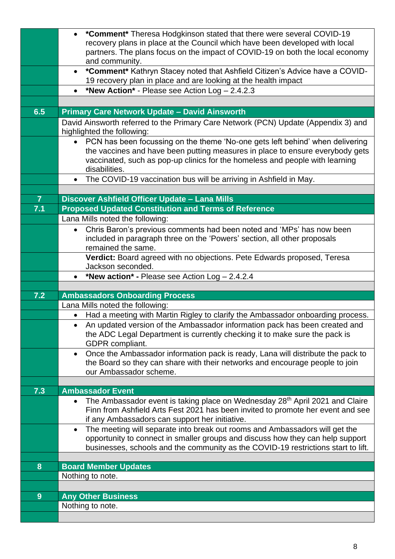|                | <b>*Comment*</b> Theresa Hodgkinson stated that there were several COVID-19<br>$\bullet$<br>recovery plans in place at the Council which have been developed with local                                                                                                    |
|----------------|----------------------------------------------------------------------------------------------------------------------------------------------------------------------------------------------------------------------------------------------------------------------------|
|                | partners. The plans focus on the impact of COVID-19 on both the local economy<br>and community.                                                                                                                                                                            |
|                | *Comment* Kathryn Stacey noted that Ashfield Citizen's Advice have a COVID-<br>$\bullet$<br>19 recovery plan in place and are looking at the health impact                                                                                                                 |
|                | *New Action* - Please see Action Log - 2.4.2.3                                                                                                                                                                                                                             |
|                |                                                                                                                                                                                                                                                                            |
| 6.5            | <b>Primary Care Network Update - David Ainsworth</b>                                                                                                                                                                                                                       |
|                | David Ainsworth referred to the Primary Care Network (PCN) Update (Appendix 3) and<br>highlighted the following:                                                                                                                                                           |
|                | • PCN has been focussing on the theme 'No-one gets left behind' when delivering<br>the vaccines and have been putting measures in place to ensure everybody gets<br>vaccinated, such as pop-up clinics for the homeless and people with learning<br>disabilities.          |
|                | The COVID-19 vaccination bus will be arriving in Ashfield in May.<br>$\bullet$                                                                                                                                                                                             |
|                |                                                                                                                                                                                                                                                                            |
| $\overline{7}$ | Discover Ashfield Officer Update - Lana Mills                                                                                                                                                                                                                              |
| 7.1            | <b>Proposed Updated Constitution and Terms of Reference</b>                                                                                                                                                                                                                |
|                | Lana Mills noted the following:                                                                                                                                                                                                                                            |
|                | Chris Baron's previous comments had been noted and 'MPs' has now been<br>$\bullet$                                                                                                                                                                                         |
|                | included in paragraph three on the 'Powers' section, all other proposals<br>remained the same.                                                                                                                                                                             |
|                | Verdict: Board agreed with no objections. Pete Edwards proposed, Teresa                                                                                                                                                                                                    |
|                | Jackson seconded.                                                                                                                                                                                                                                                          |
|                | *New action* - Please see Action $Log - 2.4.2.4$                                                                                                                                                                                                                           |
|                |                                                                                                                                                                                                                                                                            |
| 7.2            | <b>Ambassadors Onboarding Process</b>                                                                                                                                                                                                                                      |
|                |                                                                                                                                                                                                                                                                            |
|                | Lana Mills noted the following:                                                                                                                                                                                                                                            |
|                | Had a meeting with Martin Rigley to clarify the Ambassador onboarding process.<br>$\bullet$<br>An updated version of the Ambassador information pack has been created and<br>the ADC Legal Department is currently checking it to make sure the pack is<br>GDPR compliant. |
|                | Once the Ambassador information pack is ready, Lana will distribute the pack to<br>$\bullet$<br>the Board so they can share with their networks and encourage people to join<br>our Ambassador scheme.                                                                     |
|                |                                                                                                                                                                                                                                                                            |
| 7.3            | <b>Ambassador Event</b>                                                                                                                                                                                                                                                    |
|                | • The Ambassador event is taking place on Wednesday 28 <sup>th</sup> April 2021 and Claire<br>Finn from Ashfield Arts Fest 2021 has been invited to promote her event and see<br>if any Ambassadors can support her initiative.                                            |
|                | The meeting will separate into break out rooms and Ambassadors will get the<br>$\bullet$<br>opportunity to connect in smaller groups and discuss how they can help support                                                                                                 |
|                | businesses, schools and the community as the COVID-19 restrictions start to lift.                                                                                                                                                                                          |
|                |                                                                                                                                                                                                                                                                            |
| 8              | <b>Board Member Updates</b>                                                                                                                                                                                                                                                |
|                | Nothing to note.                                                                                                                                                                                                                                                           |
| 9              | <b>Any Other Business</b>                                                                                                                                                                                                                                                  |
|                | Nothing to note.                                                                                                                                                                                                                                                           |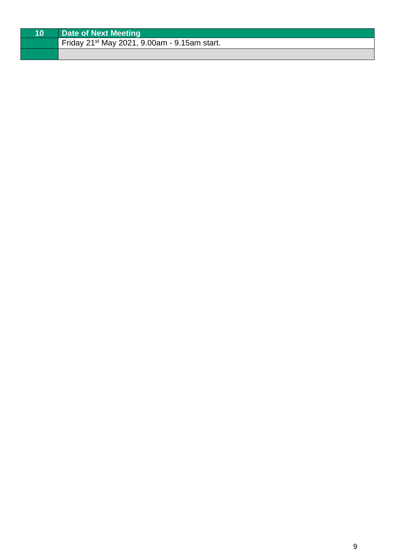| Date of Next Meeting                                     |
|----------------------------------------------------------|
| Friday 21 <sup>st</sup> May 2021, 9.00am - 9.15am start. |
|                                                          |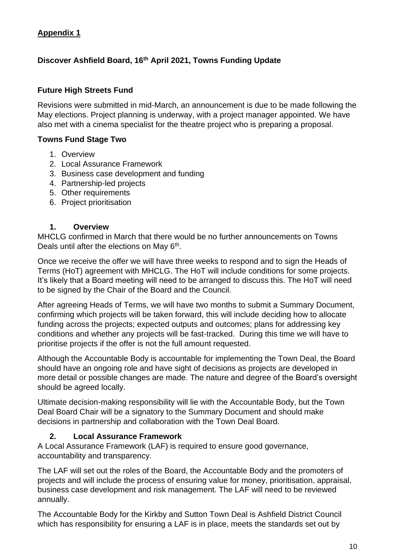# **Appendix 1**

# **Discover Ashfield Board, 16th April 2021, Towns Funding Update**

## **Future High Streets Fund**

Revisions were submitted in mid-March, an announcement is due to be made following the May elections. Project planning is underway, with a project manager appointed. We have also met with a cinema specialist for the theatre project who is preparing a proposal.

## **Towns Fund Stage Two**

- 1. Overview
- 2. Local Assurance Framework
- 3. Business case development and funding
- 4. Partnership-led projects
- 5. Other requirements
- 6. Project prioritisation

## **1. Overview**

MHCLG confirmed in March that there would be no further announcements on Towns Deals until after the elections on May 6<sup>th</sup>.

Once we receive the offer we will have three weeks to respond and to sign the Heads of Terms (HoT) agreement with MHCLG. The HoT will include conditions for some projects. It's likely that a Board meeting will need to be arranged to discuss this. The HoT will need to be signed by the Chair of the Board and the Council.

After agreeing Heads of Terms, we will have two months to submit a Summary Document, confirming which projects will be taken forward, this will include deciding how to allocate funding across the projects; expected outputs and outcomes; plans for addressing key conditions and whether any projects will be fast-tracked. During this time we will have to prioritise projects if the offer is not the full amount requested.

Although the Accountable Body is accountable for implementing the Town Deal, the Board should have an ongoing role and have sight of decisions as projects are developed in more detail or possible changes are made. The nature and degree of the Board's oversight should be agreed locally.

Ultimate decision-making responsibility will lie with the Accountable Body, but the Town Deal Board Chair will be a signatory to the Summary Document and should make decisions in partnership and collaboration with the Town Deal Board.

## **2. Local Assurance Framework**

A Local Assurance Framework (LAF) is required to ensure good governance, accountability and transparency.

The LAF will set out the roles of the Board, the Accountable Body and the promoters of projects and will include the process of ensuring value for money, prioritisation, appraisal, business case development and risk management. The LAF will need to be reviewed annually.

The Accountable Body for the Kirkby and Sutton Town Deal is Ashfield District Council which has responsibility for ensuring a LAF is in place, meets the standards set out by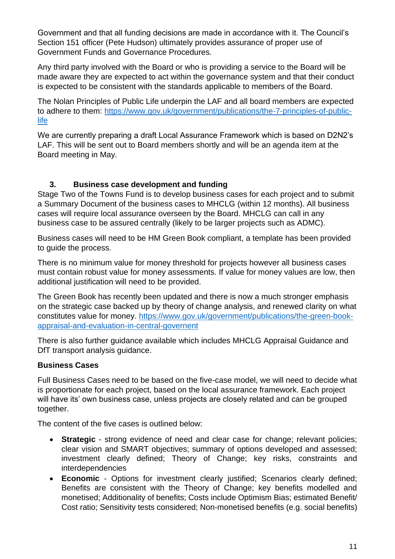Government and that all funding decisions are made in accordance with it. The Council's Section 151 officer (Pete Hudson) ultimately provides assurance of proper use of Government Funds and Governance Procedures.

Any third party involved with the Board or who is providing a service to the Board will be made aware they are expected to act within the governance system and that their conduct is expected to be consistent with the standards applicable to members of the Board.

The Nolan Principles of Public Life underpin the LAF and all board members are expected to adhere to them: [https://www.gov.uk/government/publications/the-7-principles-of-public](https://www.gov.uk/government/publications/the-7-principles-of-public-life)[life](https://www.gov.uk/government/publications/the-7-principles-of-public-life) 

We are currently preparing a draft Local Assurance Framework which is based on D2N2's LAF. This will be sent out to Board members shortly and will be an agenda item at the Board meeting in May.

# **3. Business case development and funding**

Stage Two of the Towns Fund is to develop business cases for each project and to submit a Summary Document of the business cases to MHCLG (within 12 months). All business cases will require local assurance overseen by the Board. MHCLG can call in any business case to be assured centrally (likely to be larger projects such as ADMC).

Business cases will need to be HM Green Book compliant, a template has been provided to guide the process.

There is no minimum value for money threshold for projects however all business cases must contain robust value for money assessments. If value for money values are low, then additional justification will need to be provided.

The Green Book has recently been updated and there is now a much stronger emphasis on the strategic case backed up by theory of change analysis, and renewed clarity on what constitutes value for money. [https://www.gov.uk/government/publications/the-green-book](https://www.gov.uk/government/publications/the-green-book-appraisal-and-evaluation-in-central-governent)[appraisal-and-evaluation-in-central-governent](https://www.gov.uk/government/publications/the-green-book-appraisal-and-evaluation-in-central-governent)

There is also further guidance available which includes MHCLG Appraisal Guidance and DfT transport analysis guidance.

## **Business Cases**

Full Business Cases need to be based on the five-case model, we will need to decide what is proportionate for each project, based on the local assurance framework. Each project will have its' own business case, unless projects are closely related and can be grouped together.

The content of the five cases is outlined below:

- **Strategic** strong evidence of need and clear case for change; relevant policies; clear vision and SMART objectives; summary of options developed and assessed; investment clearly defined; Theory of Change; key risks, constraints and interdependencies
- **Economic** Options for investment clearly justified; Scenarios clearly defined; Benefits are consistent with the Theory of Change; key benefits modelled and monetised; Additionality of benefits; Costs include Optimism Bias; estimated Benefit/ Cost ratio; Sensitivity tests considered; Non-monetised benefits (e.g. social benefits)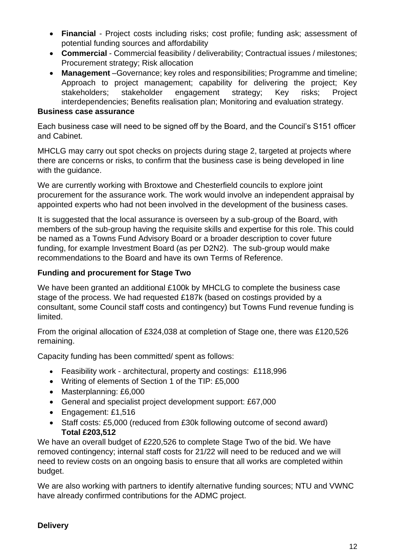- **Financial** Project costs including risks; cost profile; funding ask; assessment of potential funding sources and affordability
- **Commercial** Commercial feasibility / deliverability; Contractual issues / milestones; Procurement strategy; Risk allocation
- **Management** –Governance; key roles and responsibilities; Programme and timeline; Approach to project management; capability for delivering the project; Key stakeholders; stakeholder engagement strategy; Key risks; Project interdependencies; Benefits realisation plan; Monitoring and evaluation strategy.

#### **Business case assurance**

Each business case will need to be signed off by the Board, and the Council's S151 officer and Cabinet.

MHCLG may carry out spot checks on projects during stage 2, targeted at projects where there are concerns or risks, to confirm that the business case is being developed in line with the guidance.

We are currently working with Broxtowe and Chesterfield councils to explore joint procurement for the assurance work. The work would involve an independent appraisal by appointed experts who had not been involved in the development of the business cases.

It is suggested that the local assurance is overseen by a sub-group of the Board, with members of the sub-group having the requisite skills and expertise for this role. This could be named as a Towns Fund Advisory Board or a broader description to cover future funding, for example Investment Board (as per D2N2). The sub-group would make recommendations to the Board and have its own Terms of Reference.

## **Funding and procurement for Stage Two**

We have been granted an additional £100k by MHCLG to complete the business case stage of the process. We had requested £187k (based on costings provided by a consultant, some Council staff costs and contingency) but Towns Fund revenue funding is limited.

From the original allocation of £324,038 at completion of Stage one, there was £120,526 remaining.

Capacity funding has been committed/ spent as follows:

- Feasibility work architectural, property and costings: £118,996
- Writing of elements of Section 1 of the TIP: £5,000
- Masterplanning: £6,000
- General and specialist project development support: £67,000
- Engagement: £1,516
- Staff costs: £5,000 (reduced from £30k following outcome of second award) **Total £203,512**

We have an overall budget of £220,526 to complete Stage Two of the bid. We have removed contingency; internal staff costs for 21/22 will need to be reduced and we will need to review costs on an ongoing basis to ensure that all works are completed within budget.

We are also working with partners to identify alternative funding sources; NTU and VWNC have already confirmed contributions for the ADMC project.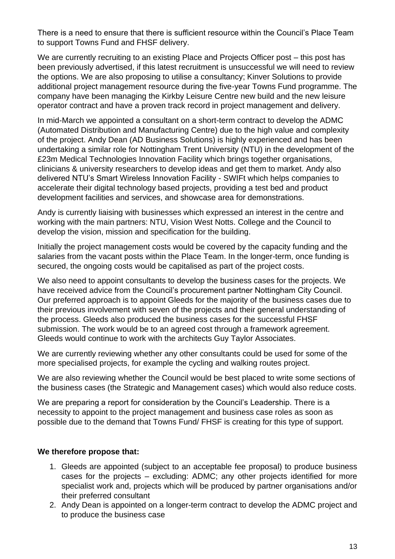There is a need to ensure that there is sufficient resource within the Council's Place Team to support Towns Fund and FHSF delivery.

We are currently recruiting to an existing Place and Projects Officer post – this post has been previously advertised, if this latest recruitment is unsuccessful we will need to review the options. We are also proposing to utilise a consultancy; Kinver Solutions to provide additional project management resource during the five-year Towns Fund programme. The company have been managing the Kirkby Leisure Centre new build and the new leisure operator contract and have a proven track record in project management and delivery.

In mid-March we appointed a consultant on a short-term contract to develop the ADMC (Automated Distribution and Manufacturing Centre) due to the high value and complexity of the project. Andy Dean (AD Business Solutions) is highly experienced and has been undertaking a similar role for Nottingham Trent University (NTU) in the development of the £23m Medical Technologies Innovation Facility which brings together organisations, clinicians & university researchers to develop ideas and get them to market. Andy also delivered NTU's Smart Wireless Innovation Facility - SWIFt which helps companies to accelerate their digital technology based projects, providing a test bed and product development facilities and services, and showcase area for demonstrations.

Andy is currently liaising with businesses which expressed an interest in the centre and working with the main partners: NTU, Vision West Notts. College and the Council to develop the vision, mission and specification for the building.

Initially the project management costs would be covered by the capacity funding and the salaries from the vacant posts within the Place Team. In the longer-term, once funding is secured, the ongoing costs would be capitalised as part of the project costs.

We also need to appoint consultants to develop the business cases for the projects. We have received advice from the Council's procurement partner Nottingham City Council. Our preferred approach is to appoint Gleeds for the majority of the business cases due to their previous involvement with seven of the projects and their general understanding of the process. Gleeds also produced the business cases for the successful FHSF submission. The work would be to an agreed cost through a framework agreement. Gleeds would continue to work with the architects Guy Taylor Associates.

We are currently reviewing whether any other consultants could be used for some of the more specialised projects, for example the cycling and walking routes project.

We are also reviewing whether the Council would be best placed to write some sections of the business cases (the Strategic and Management cases) which would also reduce costs.

We are preparing a report for consideration by the Council's Leadership. There is a necessity to appoint to the project management and business case roles as soon as possible due to the demand that Towns Fund/ FHSF is creating for this type of support.

## **We therefore propose that:**

- 1. Gleeds are appointed (subject to an acceptable fee proposal) to produce business cases for the projects – excluding: ADMC; any other projects identified for more specialist work and, projects which will be produced by partner organisations and/or their preferred consultant
- 2. Andy Dean is appointed on a longer-term contract to develop the ADMC project and to produce the business case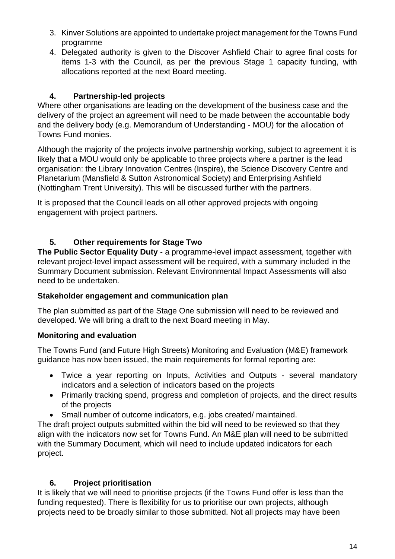- 3. Kinver Solutions are appointed to undertake project management for the Towns Fund programme
- 4. Delegated authority is given to the Discover Ashfield Chair to agree final costs for items 1-3 with the Council, as per the previous Stage 1 capacity funding, with allocations reported at the next Board meeting.

# **4. Partnership-led projects**

Where other organisations are leading on the development of the business case and the delivery of the project an agreement will need to be made between the accountable body and the delivery body (e.g. Memorandum of Understanding - MOU) for the allocation of Towns Fund monies.

Although the majority of the projects involve partnership working, subject to agreement it is likely that a MOU would only be applicable to three projects where a partner is the lead organisation: the Library Innovation Centres (Inspire), the Science Discovery Centre and Planetarium (Mansfield & Sutton Astronomical Society) and Enterprising Ashfield (Nottingham Trent University). This will be discussed further with the partners.

It is proposed that the Council leads on all other approved projects with ongoing engagement with project partners.

# **5. Other requirements for Stage Two**

**The Public Sector Equality Duty** - a programme-level impact assessment, together with relevant project-level impact assessment will be required, with a summary included in the Summary Document submission. Relevant Environmental Impact Assessments will also need to be undertaken.

# **Stakeholder engagement and communication plan**

The plan submitted as part of the Stage One submission will need to be reviewed and developed. We will bring a draft to the next Board meeting in May.

# **Monitoring and evaluation**

The Towns Fund (and Future High Streets) Monitoring and Evaluation (M&E) framework guidance has now been issued, the main requirements for formal reporting are:

- Twice a year reporting on Inputs, Activities and Outputs several mandatory indicators and a selection of indicators based on the projects
- Primarily tracking spend, progress and completion of projects, and the direct results of the projects
- Small number of outcome indicators, e.g. jobs created/ maintained.

The draft project outputs submitted within the bid will need to be reviewed so that they align with the indicators now set for Towns Fund. An M&E plan will need to be submitted with the Summary Document, which will need to include updated indicators for each project.

# **6. Project prioritisation**

It is likely that we will need to prioritise projects (if the Towns Fund offer is less than the funding requested). There is flexibility for us to prioritise our own projects, although projects need to be broadly similar to those submitted. Not all projects may have been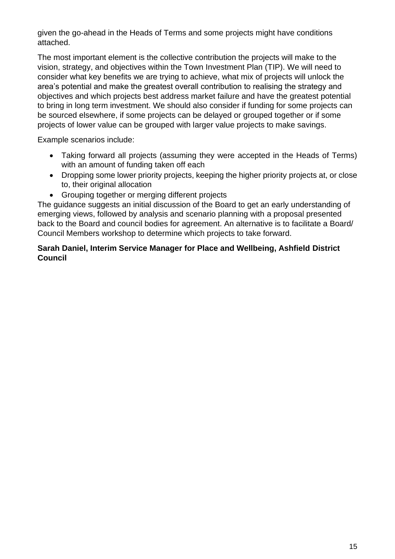given the go-ahead in the Heads of Terms and some projects might have conditions attached.

The most important element is the collective contribution the projects will make to the vision, strategy, and objectives within the Town Investment Plan (TIP). We will need to consider what key benefits we are trying to achieve, what mix of projects will unlock the area's potential and make the greatest overall contribution to realising the strategy and objectives and which projects best address market failure and have the greatest potential to bring in long term investment. We should also consider if funding for some projects can be sourced elsewhere, if some projects can be delayed or grouped together or if some projects of lower value can be grouped with larger value projects to make savings.

Example scenarios include:

- Taking forward all projects (assuming they were accepted in the Heads of Terms) with an amount of funding taken off each
- Dropping some lower priority projects, keeping the higher priority projects at, or close to, their original allocation
- Grouping together or merging different projects

The guidance suggests an initial discussion of the Board to get an early understanding of emerging views, followed by analysis and scenario planning with a proposal presented back to the Board and council bodies for agreement. An alternative is to facilitate a Board/ Council Members workshop to determine which projects to take forward.

## **Sarah Daniel, Interim Service Manager for Place and Wellbeing, Ashfield District Council**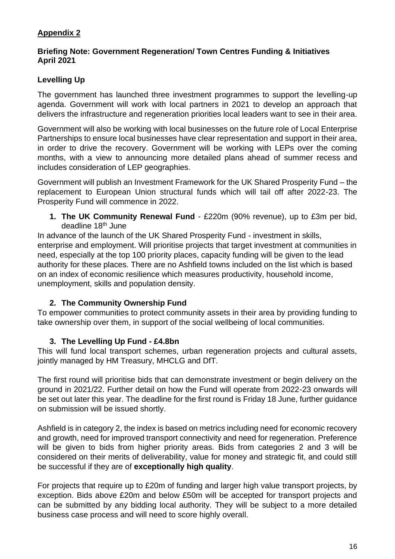# **Appendix 2**

#### **Briefing Note: Government Regeneration/ Town Centres Funding & Initiatives April 2021**

# **Levelling Up**

The government has launched three investment programmes to support the levelling-up agenda. Government will work with local partners in 2021 to develop an approach that delivers the infrastructure and regeneration priorities local leaders want to see in their area.

Government will also be working with local businesses on the future role of Local Enterprise Partnerships to ensure local businesses have clear representation and support in their area, in order to drive the recovery. Government will be working with LEPs over the coming months, with a view to announcing more detailed plans ahead of summer recess and includes consideration of LEP geographies.

Government will publish an Investment Framework for the UK Shared Prosperity Fund – the replacement to European Union structural funds which will tail off after 2022-23. The Prosperity Fund will commence in 2022.

## **1. The UK Community Renewal Fund** - £220m (90% revenue), up to £3m per bid, deadline 18th June

In advance of the launch of the UK Shared Prosperity Fund - investment in skills, enterprise and employment. Will prioritise projects that target investment at communities in need, especially at the top 100 priority places, capacity funding will be given to the lead authority for these places. There are no Ashfield towns included on the list which is based on an index of economic resilience which measures productivity, household income, unemployment, skills and population density.

# **2. The Community Ownership Fund**

To empower communities to protect community assets in their area by providing funding to take ownership over them, in support of the social wellbeing of local communities.

# **3. The Levelling Up Fund - £4.8bn**

This will fund local transport schemes, urban regeneration projects and cultural assets, jointly managed by HM Treasury, MHCLG and DfT.

The first round will prioritise bids that can demonstrate investment or begin delivery on the ground in 2021/22. Further detail on how the Fund will operate from 2022-23 onwards will be set out later this year. The deadline for the first round is Friday 18 June, further guidance on submission will be issued shortly.

Ashfield is in category 2, the index is based on metrics including need for economic recovery and growth, need for improved transport connectivity and need for regeneration. Preference will be given to bids from higher priority areas. Bids from categories 2 and 3 will be considered on their merits of deliverability, value for money and strategic fit, and could still be successful if they are of **exceptionally high quality**.

For projects that require up to £20m of funding and larger high value transport projects, by exception. Bids above £20m and below £50m will be accepted for transport projects and can be submitted by any bidding local authority. They will be subject to a more detailed business case process and will need to score highly overall.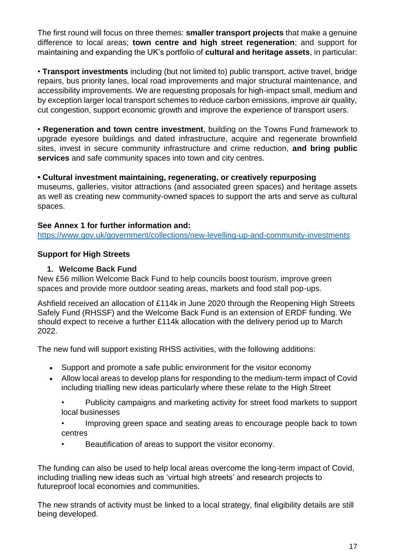The first round will focus on three themes: **smaller transport projects** that make a genuine difference to local areas; **town centre and high street regeneration**; and support for maintaining and expanding the UK's portfolio of **cultural and heritage assets**, in particular:

• **Transport investments** including (but not limited to) public transport, active travel, bridge repairs, bus priority lanes, local road improvements and major structural maintenance, and accessibility improvements. We are requesting proposals for high-impact small, medium and by exception larger local transport schemes to reduce carbon emissions, improve air quality, cut congestion, support economic growth and improve the experience of transport users.

• **Regeneration and town centre investment**, building on the Towns Fund framework to upgrade eyesore buildings and dated infrastructure, acquire and regenerate brownfield sites, invest in secure community infrastructure and crime reduction, **and bring public services** and safe community spaces into town and city centres.

## **• Cultural investment maintaining, regenerating, or creatively repurposing**

museums, galleries, visitor attractions (and associated green spaces) and heritage assets as well as creating new community-owned spaces to support the arts and serve as cultural spaces.

## **See Annex 1 for further information and:**

<https://www.gov.uk/government/collections/new-levelling-up-and-community-investments>

# **Support for High Streets**

## **1. Welcome Back Fund**

New £56 million Welcome Back Fund to help councils boost tourism, improve green spaces and provide more outdoor seating areas, markets and food stall pop-ups.

Ashfield received an allocation of £114k in June 2020 through the Reopening High Streets Safely Fund (RHSSF) and the Welcome Back Fund is an extension of ERDF funding. We should expect to receive a further £114k allocation with the delivery period up to March 2022.

The new fund will support existing RHSS activities, with the following additions:

- Support and promote a safe public environment for the visitor economy
- Allow local areas to develop plans for responding to the medium-term impact of Covid including trialling new ideas particularly where these relate to the High Street
	- Publicity campaigns and marketing activity for street food markets to support local businesses
	- Improving green space and seating areas to encourage people back to town centres
	- Beautification of areas to support the visitor economy.

The funding can also be used to help local areas overcome the long-term impact of Covid, including trialling new ideas such as 'virtual high streets' and research projects to futureproof local economies and communities.

The new strands of activity must be linked to a local strategy, final eligibility details are still being developed.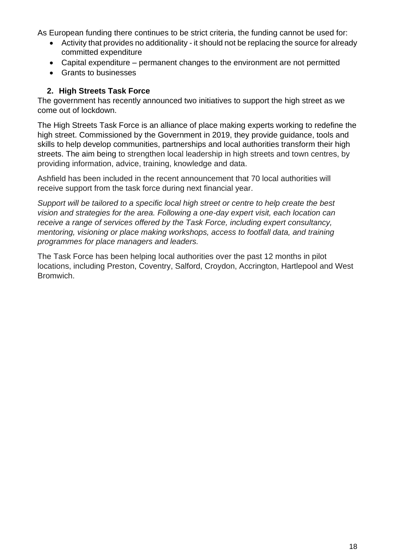As European funding there continues to be strict criteria, the funding cannot be used for:

- Activity that provides no additionality it should not be replacing the source for already committed expenditure
- Capital expenditure permanent changes to the environment are not permitted
- Grants to businesses

## **2. High Streets Task Force**

The government has recently announced two initiatives to support the high street as we come out of lockdown.

The High Streets Task Force is an alliance of place making experts working to redefine the high street. Commissioned by the Government in 2019, they provide guidance, tools and skills to help develop communities, partnerships and local authorities transform their high streets. The aim being to strengthen local leadership in high streets and town centres, by providing information, advice, training, knowledge and data.

Ashfield has been included in the recent announcement that 70 local authorities will receive support from the task force during next financial year.

*Support will be tailored to a specific local high street or centre to help create the best vision and strategies for the area. Following a one-day expert visit, each location can receive a range of services offered by the Task Force, including expert consultancy, mentoring, visioning or place making workshops, access to footfall data, and training programmes for place managers and leaders.*

The Task Force has been helping local authorities over the past 12 months in pilot locations, including Preston, Coventry, Salford, Croydon, Accrington, Hartlepool and West Bromwich.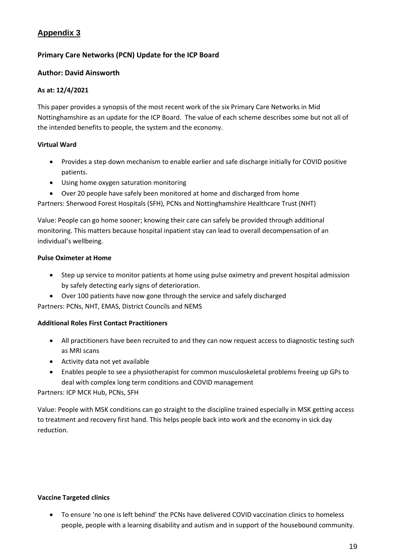# **Appendix 3**

## **Primary Care Networks (PCN) Update for the ICP Board**

#### **Author: David Ainsworth**

#### **As at: 12/4/2021**

This paper provides a synopsis of the most recent work of the six Primary Care Networks in Mid Nottinghamshire as an update for the ICP Board. The value of each scheme describes some but not all of the intended benefits to people, the system and the economy.

#### **Virtual Ward**

- Provides a step down mechanism to enable earlier and safe discharge initially for COVID positive patients.
- Using home oxygen saturation monitoring
- Over 20 people have safely been monitored at home and discharged from home

Partners: Sherwood Forest Hospitals (SFH), PCNs and Nottinghamshire Healthcare Trust (NHT)

Value: People can go home sooner; knowing their care can safely be provided through additional monitoring. This matters because hospital inpatient stay can lead to overall decompensation of an individual's wellbeing.

#### **Pulse Oximeter at Home**

- Step up service to monitor patients at home using pulse oximetry and prevent hospital admission by safely detecting early signs of deterioration.
- Over 100 patients have now gone through the service and safely discharged Partners: PCNs, NHT, EMAS, District Councils and NEMS

#### **Additional Roles First Contact Practitioners**

- All practitioners have been recruited to and they can now request access to diagnostic testing such as MRI scans
- Activity data not yet available
- Enables people to see a physiotherapist for common musculoskeletal problems freeing up GPs to deal with complex long term conditions and COVID management

Partners: ICP MCK Hub, PCNs, SFH

Value: People with MSK conditions can go straight to the discipline trained especially in MSK getting access to treatment and recovery first hand. This helps people back into work and the economy in sick day reduction.

#### **Vaccine Targeted clinics**

• To ensure 'no one is left behind' the PCNs have delivered COVID vaccination clinics to homeless people, people with a learning disability and autism and in support of the housebound community.